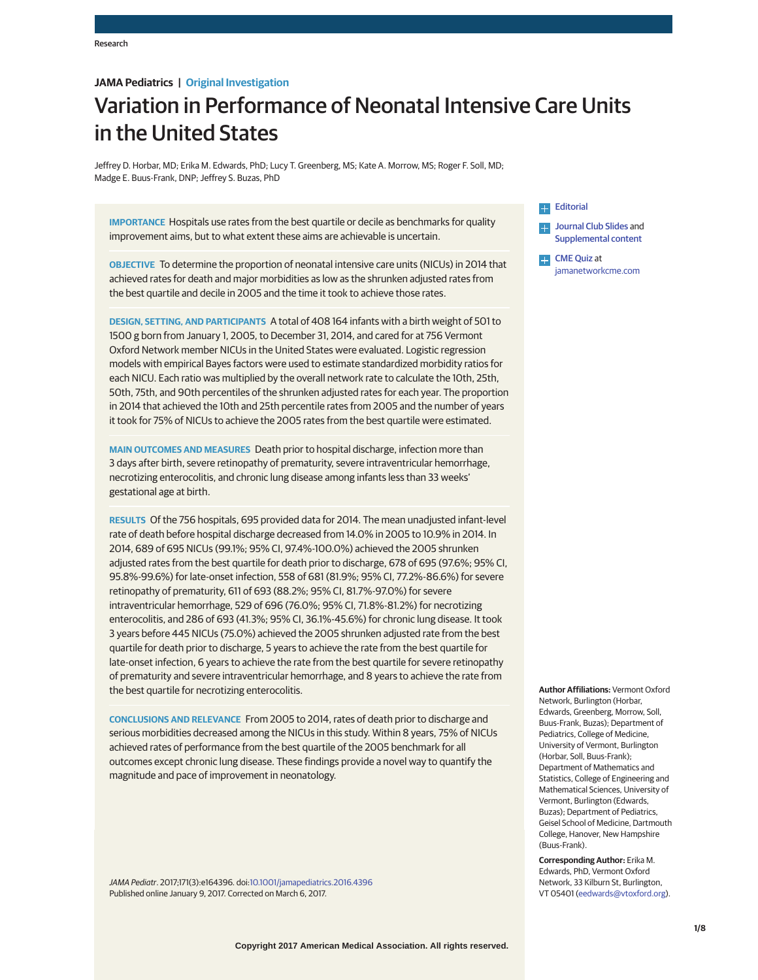## **JAMA Pediatrics | Original Investigation**

# Variation in Performance of Neonatal Intensive Care Units in the United States

Jeffrey D. Horbar, MD; Erika M. Edwards, PhD; Lucy T. Greenberg, MS; Kate A. Morrow, MS; Roger F. Soll, MD; Madge E. Buus-Frank, DNP; Jeffrey S. Buzas, PhD

**IMPORTANCE** Hospitals use rates from the best quartile or decile as benchmarks for quality improvement aims, but to what extent these aims are achievable is uncertain.

**OBJECTIVE** To determine the proportion of neonatal intensive care units (NICUs) in 2014 that achieved rates for death and major morbidities as low as the shrunken adjusted rates from the best quartile and decile in 2005 and the time it took to achieve those rates.

**DESIGN, SETTING, AND PARTICIPANTS** A total of 408 164 infants with a birth weight of 501 to 1500 g born from January 1, 2005, to December 31, 2014, and cared for at 756 Vermont Oxford Network member NICUs in the United States were evaluated. Logistic regression models with empirical Bayes factors were used to estimate standardized morbidity ratios for each NICU. Each ratio was multiplied by the overall network rate to calculate the 10th, 25th, 50th, 75th, and 90th percentiles of the shrunken adjusted rates for each year. The proportion in 2014 that achieved the 10th and 25th percentile rates from 2005 and the number of years it took for 75% of NICUs to achieve the 2005 rates from the best quartile were estimated.

**MAIN OUTCOMES AND MEASURES** Death prior to hospital discharge, infection more than 3 days after birth, severe retinopathy of prematurity, severe intraventricular hemorrhage, necrotizing enterocolitis, and chronic lung disease among infants less than 33 weeks' gestational age at birth.

**RESULTS** Of the 756 hospitals, 695 provided data for 2014. The mean unadjusted infant-level rate of death before hospital discharge decreased from 14.0% in 2005 to 10.9% in 2014. In 2014, 689 of 695 NICUs (99.1%; 95% CI, 97.4%-100.0%) achieved the 2005 shrunken adjusted rates from the best quartile for death prior to discharge, 678 of 695 (97.6%; 95% CI, 95.8%-99.6%) for late-onset infection, 558 of 681 (81.9%; 95% CI, 77.2%-86.6%) for severe retinopathy of prematurity, 611 of 693 (88.2%; 95% CI, 81.7%-97.0%) for severe intraventricular hemorrhage, 529 of 696 (76.0%; 95% CI, 71.8%-81.2%) for necrotizing enterocolitis, and 286 of 693 (41.3%; 95% CI, 36.1%-45.6%) for chronic lung disease. It took 3 years before 445 NICUs (75.0%) achieved the 2005 shrunken adjusted rate from the best quartile for death prior to discharge, 5 years to achieve the rate from the best quartile for late-onset infection, 6 years to achieve the rate from the best quartile for severe retinopathy of prematurity and severe intraventricular hemorrhage, and 8 years to achieve the rate from the best quartile for necrotizing enterocolitis.

**CONCLUSIONS AND RELEVANCE** From 2005 to 2014, rates of death prior to discharge and serious morbidities decreased among the NICUs in this study. Within 8 years, 75% of NICUs achieved rates of performance from the best quartile of the 2005 benchmark for all outcomes except chronic lung disease. These findings provide a novel way to quantify the magnitude and pace of improvement in neonatology.

JAMA Pediatr. 2017;171(3):e164396. doi[:10.1001/jamapediatrics.2016.4396](http://jama.jamanetwork.com/article.aspx?doi=10.1001/jamapediatrics.2016.4396&utm_campaign=articlePDF%26utm_medium=articlePDFlink%26utm_source=articlePDF%26utm_content=jamapediatrics.2016.4396) Published online January 9, 2017. Corrected on March 6, 2017.

# **[Editorial](http://jama.jamanetwork.com/article.aspx?doi=10.1001/jamapediatrics.2016.4395&utm_campaign=articlePDF%26utm_medium=articlePDFlink%26utm_source=articlePDF%26utm_content=jamapediatrics.2016.4396)**



[CME Quiz](http://jama.jamanetwork.com/article.aspx?doi=10.1001/jamapediatrics.2016.3096&utm_campaign=articlePDF%26utm_medium=articlePDFlink%26utm_source=articlePDF%26utm_content=jamapediatrics.2016.4396) at [jamanetworkcme.com](http://www.jamanetwork.com/cme.aspx?&utm_campaign=articlePDF%26utm_medium=articlePDFlink%26utm_source=articlePDF%26utm_content=jamapediatrics.2016.4396)

**Author Affiliations:** Vermont Oxford Network, Burlington (Horbar, Edwards, Greenberg, Morrow, Soll, Buus-Frank, Buzas); Department of Pediatrics, College of Medicine, University of Vermont, Burlington (Horbar, Soll, Buus-Frank); Department of Mathematics and Statistics, College of Engineering and Mathematical Sciences, University of Vermont, Burlington (Edwards, Buzas); Department of Pediatrics, Geisel School of Medicine, Dartmouth College, Hanover, New Hampshire (Buus-Frank).

**Corresponding Author:** Erika M. Edwards, PhD, Vermont Oxford Network, 33 Kilburn St, Burlington, VT 05401 [\(eedwards@vtoxford.org\)](mailto:eedwards@vtoxford.org).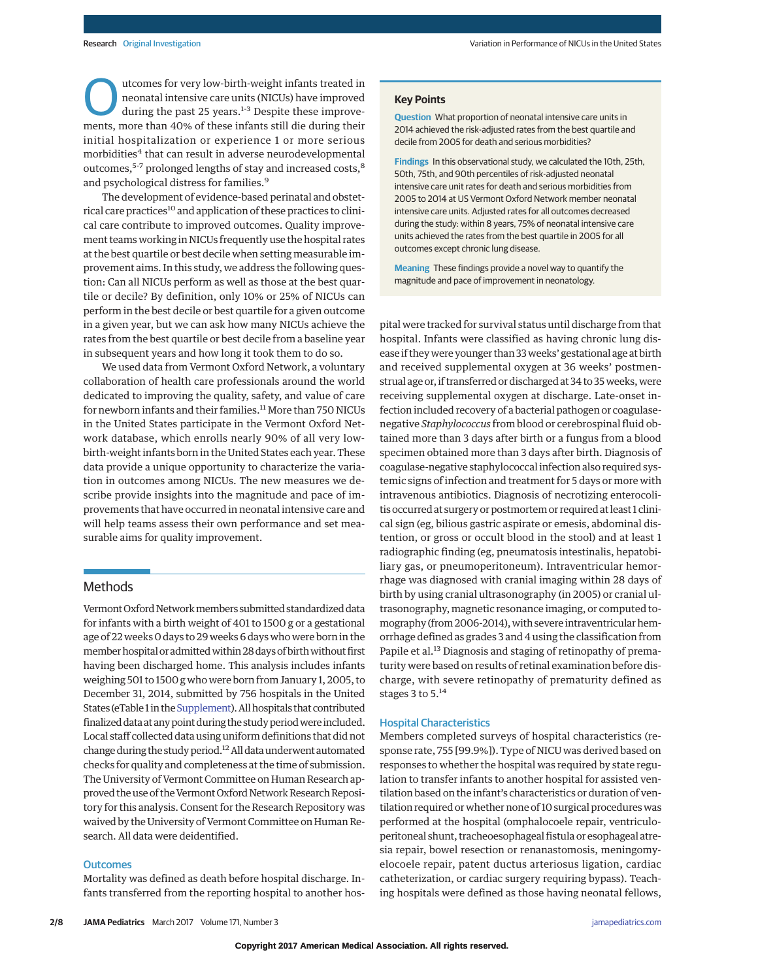Outcomes for very low-birth-weight infants treated in<br>
neonatal intensive care units (NICUs) have improved<br>
during the past 25 years.<sup>1-3</sup> Despite these improve-<br>
monts, more than 40% of these infants still die during thei neonatal intensive care units (NICUs) have improved ments, more than 40% of these infants still die during their initial hospitalization or experience 1 or more serious morbidities<sup>4</sup> that can result in adverse neurodevelopmental outcomes,<sup>5-7</sup> prolonged lengths of stay and increased costs,<sup>8</sup> and psychological distress for families.<sup>9</sup>

The development of evidence-based perinatal and obstetrical care practices<sup>10</sup> and application of these practices to clinical care contribute to improved outcomes. Quality improvement teams working in NICUs frequently use the hospital rates at the best quartile or best decile when setting measurable improvement aims. In this study, we address the following question: Can all NICUs perform as well as those at the best quartile or decile? By definition, only 10% or 25% of NICUs can perform in the best decile or best quartile for a given outcome in a given year, but we can ask how many NICUs achieve the rates from the best quartile or best decile from a baseline year in subsequent years and how long it took them to do so.

We used data from Vermont Oxford Network, a voluntary collaboration of health care professionals around the world dedicated to improving the quality, safety, and value of care for newborn infants and their families.<sup>11</sup> More than 750 NICUs in the United States participate in the Vermont Oxford Network database, which enrolls nearly 90% of all very lowbirth-weight infants born in the United States each year. These data provide a unique opportunity to characterize the variation in outcomes among NICUs. The new measures we describe provide insights into the magnitude and pace of improvements that have occurred in neonatal intensive care and will help teams assess their own performance and set measurable aims for quality improvement.

## Methods

Vermont Oxford Network members submitted standardized data for infants with a birth weight of 401 to 1500 g or a gestational age of 22 weeks 0 days to 29 weeks 6 days who were born in the member hospital or admitted within 28 days of birth without first having been discharged home. This analysis includes infants weighing 501 to 1500 g who were born from January 1, 2005, to December 31, 2014, submitted by 756 hospitals in the United States (eTable 1 in the Supplement). All hospitals that contributed finalized data at any point during the study period were included. Local staff collected data using uniform definitions that did not change during the study period.<sup>12</sup> All data underwent automated checks for quality and completeness at the time of submission. The University of Vermont Committee on Human Research approved the use of the Vermont Oxford Network Research Repository for this analysis. Consent for the Research Repository was waived by the University of Vermont Committee on Human Research. All data were deidentified.

#### **Outcomes**

Mortality was defined as death before hospital discharge. Infants transferred from the reporting hospital to another hos-

**Question** What proportion of neonatal intensive care units in 2014 achieved the risk-adjusted rates from the best quartile and decile from 2005 for death and serious morbidities?

**Findings** In this observational study, we calculated the 10th, 25th, 50th, 75th, and 90th percentiles of risk-adjusted neonatal intensive care unit rates for death and serious morbidities from 2005 to 2014 at US Vermont Oxford Network member neonatal intensive care units. Adjusted rates for all outcomes decreased during the study: within 8 years, 75% of neonatal intensive care units achieved the rates from the best quartile in 2005 for all outcomes except chronic lung disease.

**Meaning** These findings provide a novel way to quantify the magnitude and pace of improvement in neonatology.

pital were tracked for survival status until discharge from that hospital. Infants were classified as having chronic lung disease if they were younger than 33 weeks' gestational age at birth and received supplemental oxygen at 36 weeks' postmenstrual age or, if transferred or discharged at 34 to 35 weeks, were receiving supplemental oxygen at discharge. Late-onset infection included recovery of a bacterial pathogen or coagulasenegative *Staphylococcus* from blood or cerebrospinal fluid obtained more than 3 days after birth or a fungus from a blood specimen obtained more than 3 days after birth. Diagnosis of coagulase-negative staphylococcal infection also required systemic signs of infection and treatment for 5 days or more with intravenous antibiotics. Diagnosis of necrotizing enterocolitis occurred at surgery or postmortem or required at least 1 clinical sign (eg, bilious gastric aspirate or emesis, abdominal distention, or gross or occult blood in the stool) and at least 1 radiographic finding (eg, pneumatosis intestinalis, hepatobiliary gas, or pneumoperitoneum). Intraventricular hemorrhage was diagnosed with cranial imaging within 28 days of birth by using cranial ultrasonography (in 2005) or cranial ultrasonography, magnetic resonance imaging, or computed tomography (from 2006-2014), with severe intraventricular hemorrhage defined as grades 3 and 4 using the classification from Papile et al.<sup>13</sup> Diagnosis and staging of retinopathy of prematurity were based on results of retinal examination before discharge, with severe retinopathy of prematurity defined as stages 3 to 5.<sup>14</sup>

## Hospital Characteristics

Members completed surveys of hospital characteristics (response rate, 755 [99.9%]). Type of NICU was derived based on responses to whether the hospital was required by state regulation to transfer infants to another hospital for assisted ventilation based on the infant's characteristics or duration of ventilation required or whether none of 10 surgical procedures was performed at the hospital (omphalocoele repair, ventriculoperitoneal shunt, tracheoesophageal fistula or esophageal atresia repair, bowel resection or renanastomosis, meningomyelocoele repair, patent ductus arteriosus ligation, cardiac catheterization, or cardiac surgery requiring bypass). Teaching hospitals were defined as those having neonatal fellows,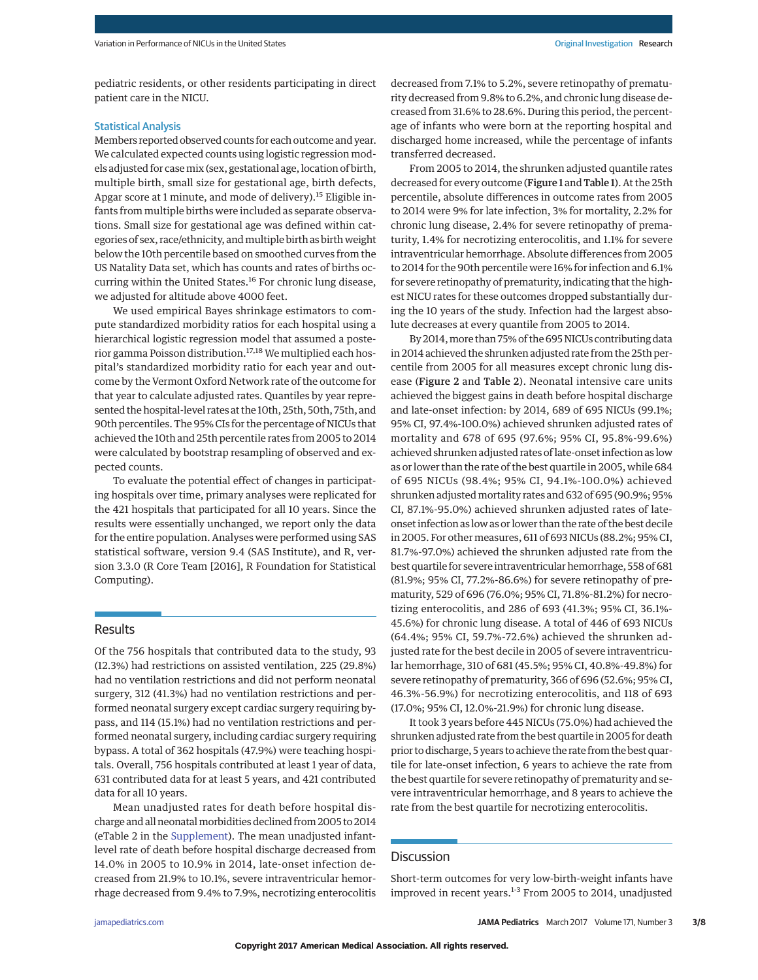pediatric residents, or other residents participating in direct patient care in the NICU.

#### Statistical Analysis

Members reported observed counts for each outcome and year. We calculated expected counts using logistic regression models adjusted for casemix (sex, gestational age, location of birth, multiple birth, small size for gestational age, birth defects, Apgar score at 1 minute, and mode of delivery).<sup>15</sup> Eligible infants from multiple births were included as separate observations. Small size for gestational age was defined within categories of sex, race/ethnicity, andmultiple birth as birth weight below the 10th percentile based on smoothed curves from the US Natality Data set, which has counts and rates of births occurring within the United States.<sup>16</sup> For chronic lung disease, we adjusted for altitude above 4000 feet.

We used empirical Bayes shrinkage estimators to compute standardized morbidity ratios for each hospital using a hierarchical logistic regression model that assumed a posterior gamma Poisson distribution.<sup>17,18</sup> We multiplied each hospital's standardized morbidity ratio for each year and outcome by the Vermont Oxford Network rate of the outcome for that year to calculate adjusted rates. Quantiles by year represented the hospital-level rates at the 10th, 25th, 50th, 75th, and 90th percentiles. The 95% CIs for the percentage of NICUs that achieved the 10th and 25th percentile rates from 2005 to 2014 were calculated by bootstrap resampling of observed and expected counts.

To evaluate the potential effect of changes in participating hospitals over time, primary analyses were replicated for the 421 hospitals that participated for all 10 years. Since the results were essentially unchanged, we report only the data for the entire population. Analyses were performed using SAS statistical software, version 9.4 (SAS Institute), and R, version 3.3.0 (R Core Team [2016], R Foundation for Statistical Computing).

## Results

Of the 756 hospitals that contributed data to the study, 93 (12.3%) had restrictions on assisted ventilation, 225 (29.8%) had no ventilation restrictions and did not perform neonatal surgery, 312 (41.3%) had no ventilation restrictions and performed neonatal surgery except cardiac surgery requiring bypass, and 114 (15.1%) had no ventilation restrictions and performed neonatal surgery, including cardiac surgery requiring bypass. A total of 362 hospitals (47.9%) were teaching hospitals. Overall, 756 hospitals contributed at least 1 year of data, 631 contributed data for at least 5 years, and 421 contributed data for all 10 years.

Mean unadjusted rates for death before hospital discharge and all neonatalmorbidities declined from 2005 to 2014 (eTable 2 in the [Supplement\)](http://jama.jamanetwork.com/article.aspx?doi=10.1001/jamapediatrics.2016.4396&utm_campaign=articlePDF%26utm_medium=articlePDFlink%26utm_source=articlePDF%26utm_content=jamapediatrics.2016.4396). The mean unadjusted infantlevel rate of death before hospital discharge decreased from 14.0% in 2005 to 10.9% in 2014, late-onset infection decreased from 21.9% to 10.1%, severe intraventricular hemorrhage decreased from 9.4% to 7.9%, necrotizing enterocolitis decreased from 7.1% to 5.2%, severe retinopathy of prematurity decreased from 9.8% to 6.2%, and chronic lung disease decreased from 31.6% to 28.6%. During this period, the percentage of infants who were born at the reporting hospital and discharged home increased, while the percentage of infants transferred decreased.

From 2005 to 2014, the shrunken adjusted quantile rates decreased for every outcome (Figure 1 and Table 1). At the 25th percentile, absolute differences in outcome rates from 2005 to 2014 were 9% for late infection, 3% for mortality, 2.2% for chronic lung disease, 2.4% for severe retinopathy of prematurity, 1.4% for necrotizing enterocolitis, and 1.1% for severe intraventricular hemorrhage. Absolute differences from 2005 to 2014 for the 90th percentile were 16% for infection and 6.1% for severe retinopathy of prematurity, indicating that the highest NICU rates for these outcomes dropped substantially during the 10 years of the study. Infection had the largest absolute decreases at every quantile from 2005 to 2014.

By 2014,more than 75% of the 695 NICUs contributing data in 2014 achieved the shrunken adjusted rate from the 25th percentile from 2005 for all measures except chronic lung disease (Figure 2 and Table 2). Neonatal intensive care units achieved the biggest gains in death before hospital discharge and late-onset infection: by 2014, 689 of 695 NICUs (99.1%; 95% CI, 97.4%-100.0%) achieved shrunken adjusted rates of mortality and 678 of 695 (97.6%; 95% CI, 95.8%-99.6%) achieved shrunken adjusted rates of late-onset infection as low as or lower than the rate of the best quartile in 2005, while 684 of 695 NICUs (98.4%; 95% CI, 94.1%-100.0%) achieved shrunken adjustedmortality rates and 632 of 695 (90.9%; 95% CI, 87.1%-95.0%) achieved shrunken adjusted rates of lateonset infection as low as or lower than the rate of the best decile in 2005. For other measures, 611 of 693 NICUs (88.2%; 95% CI, 81.7%-97.0%) achieved the shrunken adjusted rate from the best quartile for severe intraventricular hemorrhage, 558 of 681 (81.9%; 95% CI, 77.2%-86.6%) for severe retinopathy of prematurity, 529 of 696 (76.0%; 95% CI, 71.8%-81.2%) for necrotizing enterocolitis, and 286 of 693 (41.3%; 95% CI, 36.1%- 45.6%) for chronic lung disease. A total of 446 of 693 NICUs (64.4%; 95% CI, 59.7%-72.6%) achieved the shrunken adjusted rate for the best decile in 2005 of severe intraventricular hemorrhage, 310 of 681 (45.5%; 95% CI, 40.8%-49.8%) for severe retinopathy of prematurity, 366 of 696 (52.6%; 95% CI, 46.3%-56.9%) for necrotizing enterocolitis, and 118 of 693 (17.0%; 95% CI, 12.0%-21.9%) for chronic lung disease.

It took 3 years before 445 NICUs (75.0%) had achieved the shrunken adjusted rate from the best quartile in 2005 for death prior to discharge, 5 years to achieve the rate from the best quartile for late-onset infection, 6 years to achieve the rate from the best quartile for severe retinopathy of prematurity and severe intraventricular hemorrhage, and 8 years to achieve the rate from the best quartile for necrotizing enterocolitis.

## **Discussion**

Short-term outcomes for very low-birth-weight infants have improved in recent years.<sup>1-3</sup> From 2005 to 2014, unadjusted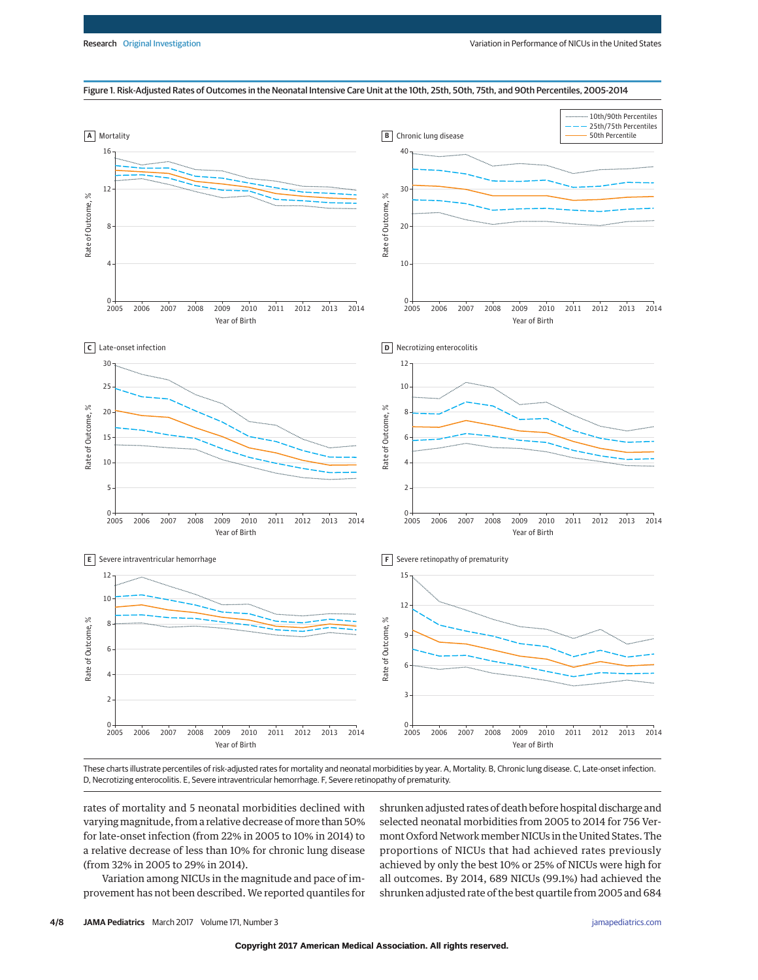#### Figure 1. Risk-Adjusted Rates of Outcomes in the Neonatal Intensive Care Unit at the 10th, 25th, 50th, 75th, and 90th Percentiles, 2005-2014



These charts illustrate percentiles of risk-adjusted rates for mortality and neonatal morbidities by year. A, Mortality. B, Chronic lung disease. C, Late-onset infection. D, Necrotizing enterocolitis. E, Severe intraventricular hemorrhage. F, Severe retinopathy of prematurity.

rates of mortality and 5 neonatal morbidities declined with varying magnitude, from a relative decrease of more than 50% for late-onset infection (from 22% in 2005 to 10% in 2014) to a relative decrease of less than 10% for chronic lung disease (from 32% in 2005 to 29% in 2014).

Variation among NICUs in the magnitude and pace of improvement has not been described. We reported quantiles for shrunken adjusted rates of death before hospital discharge and selected neonatal morbidities from 2005 to 2014 for 756 Vermont Oxford Network member NICUs in the United States. The proportions of NICUs that had achieved rates previously achieved by only the best 10% or 25% of NICUs were high for all outcomes. By 2014, 689 NICUs (99.1%) had achieved the shrunken adjusted rate of the best quartile from 2005 and 684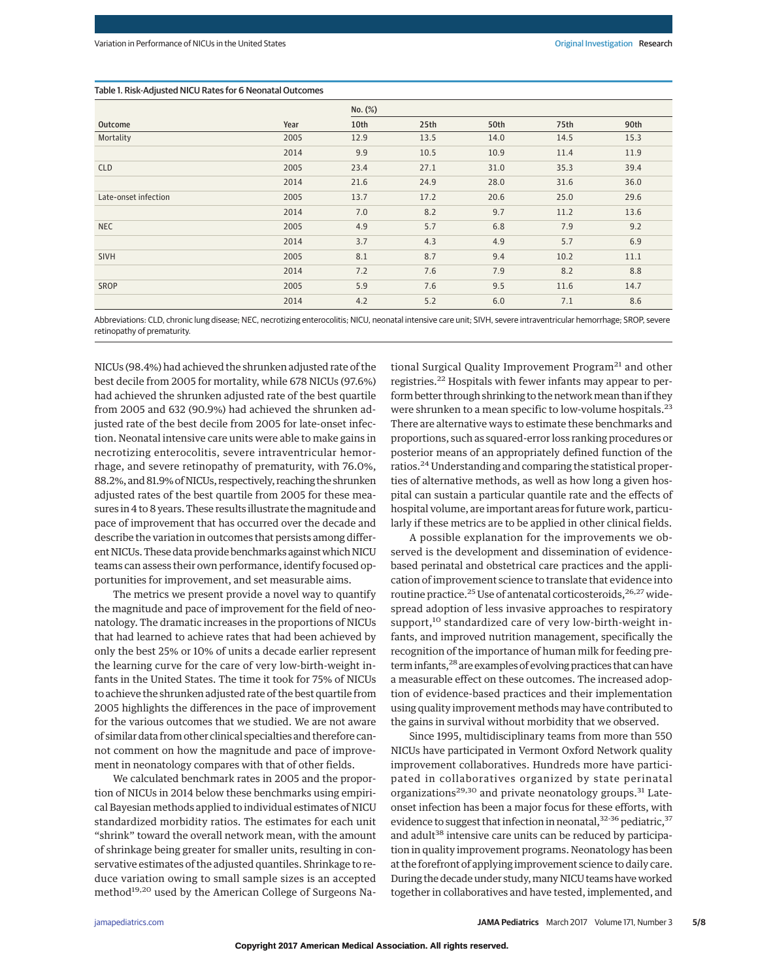## Table 1. Risk-Adjusted NICU Rates for 6 Neonatal Outcomes

|                      |      | No. (%) |      |      |      |      |
|----------------------|------|---------|------|------|------|------|
| Outcome              | Year | 10th    | 25th | 50th | 75th | 90th |
| Mortality            | 2005 | 12.9    | 13.5 | 14.0 | 14.5 | 15.3 |
|                      | 2014 | 9.9     | 10.5 | 10.9 | 11.4 | 11.9 |
| <b>CLD</b>           | 2005 | 23.4    | 27.1 | 31.0 | 35.3 | 39.4 |
|                      | 2014 | 21.6    | 24.9 | 28.0 | 31.6 | 36.0 |
| Late-onset infection | 2005 | 13.7    | 17.2 | 20.6 | 25.0 | 29.6 |
|                      | 2014 | 7.0     | 8.2  | 9.7  | 11.2 | 13.6 |
| <b>NEC</b>           | 2005 | 4.9     | 5.7  | 6.8  | 7.9  | 9.2  |
|                      | 2014 | 3.7     | 4.3  | 4.9  | 5.7  | 6.9  |
| SIVH                 | 2005 | 8.1     | 8.7  | 9.4  | 10.2 | 11.1 |
|                      | 2014 | 7.2     | 7.6  | 7.9  | 8.2  | 8.8  |
| <b>SROP</b>          | 2005 | 5.9     | 7.6  | 9.5  | 11.6 | 14.7 |
|                      | 2014 | 4.2     | 5.2  | 6.0  | 7.1  | 8.6  |

Abbreviations: CLD, chronic lung disease; NEC, necrotizing enterocolitis; NICU, neonatal intensive care unit; SIVH, severe intraventricular hemorrhage; SROP, severe retinopathy of prematurity.

NICUs (98.4%) had achieved the shrunken adjusted rate of the best decile from 2005 for mortality, while 678 NICUs (97.6%) had achieved the shrunken adjusted rate of the best quartile from 2005 and 632 (90.9%) had achieved the shrunken adjusted rate of the best decile from 2005 for late-onset infection. Neonatal intensive care units were able to make gains in necrotizing enterocolitis, severe intraventricular hemorrhage, and severe retinopathy of prematurity, with 76.0%, 88.2%, and 81.9% of NICUs, respectively, reaching the shrunken adjusted rates of the best quartile from 2005 for these measures in 4 to 8 years. These results illustrate themagnitude and pace of improvement that has occurred over the decade and describe the variation in outcomes that persists among different NICUs. These data provide benchmarks against which NICU teams can assess their own performance, identify focused opportunities for improvement, and set measurable aims.

The metrics we present provide a novel way to quantify the magnitude and pace of improvement for the field of neonatology. The dramatic increases in the proportions of NICUs that had learned to achieve rates that had been achieved by only the best 25% or 10% of units a decade earlier represent the learning curve for the care of very low-birth-weight infants in the United States. The time it took for 75% of NICUs to achieve the shrunken adjusted rate of the best quartile from 2005 highlights the differences in the pace of improvement for the various outcomes that we studied. We are not aware of similar data from other clinical specialties and therefore cannot comment on how the magnitude and pace of improvement in neonatology compares with that of other fields.

We calculated benchmark rates in 2005 and the proportion of NICUs in 2014 below these benchmarks using empirical Bayesian methods applied to individual estimates of NICU standardized morbidity ratios. The estimates for each unit "shrink" toward the overall network mean, with the amount of shrinkage being greater for smaller units, resulting in conservative estimates of the adjusted quantiles. Shrinkage to reduce variation owing to small sample sizes is an accepted method<sup>19,20</sup> used by the American College of Surgeons National Surgical Quality Improvement Program<sup>21</sup> and other registries.<sup>22</sup> Hospitals with fewer infants may appear to perform better through shrinking to the network mean than if they were shrunken to a mean specific to low-volume hospitals.<sup>23</sup> There are alternative ways to estimate these benchmarks and proportions, such as squared-error loss ranking procedures or posterior means of an appropriately defined function of the ratios.24 Understanding and comparing the statistical properties of alternative methods, as well as how long a given hospital can sustain a particular quantile rate and the effects of hospital volume, are important areas for future work, particularly if these metrics are to be applied in other clinical fields.

A possible explanation for the improvements we observed is the development and dissemination of evidencebased perinatal and obstetrical care practices and the application of improvement science to translate that evidence into routine practice.<sup>25</sup> Use of antenatal corticosteroids,  $26,27$  widespread adoption of less invasive approaches to respiratory support,<sup>10</sup> standardized care of very low-birth-weight infants, and improved nutrition management, specifically the recognition of the importance of human milk for feeding preterm infants,<sup>28</sup> are examples of evolving practices that can have a measurable effect on these outcomes. The increased adoption of evidence-based practices and their implementation using quality improvement methods may have contributed to the gains in survival without morbidity that we observed.

Since 1995, multidisciplinary teams from more than 550 NICUs have participated in Vermont Oxford Network quality improvement collaboratives. Hundreds more have participated in collaboratives organized by state perinatal organizations<sup>29,30</sup> and private neonatology groups.<sup>31</sup> Lateonset infection has been a major focus for these efforts, with evidence to suggest that infection in neonatal,  $32-36$  pediatric,  $37$ and adult<sup>38</sup> intensive care units can be reduced by participation in quality improvement programs. Neonatology has been at the forefront of applying improvement science to daily care. During the decade under study, many NICU teams have worked together in collaboratives and have tested, implemented, and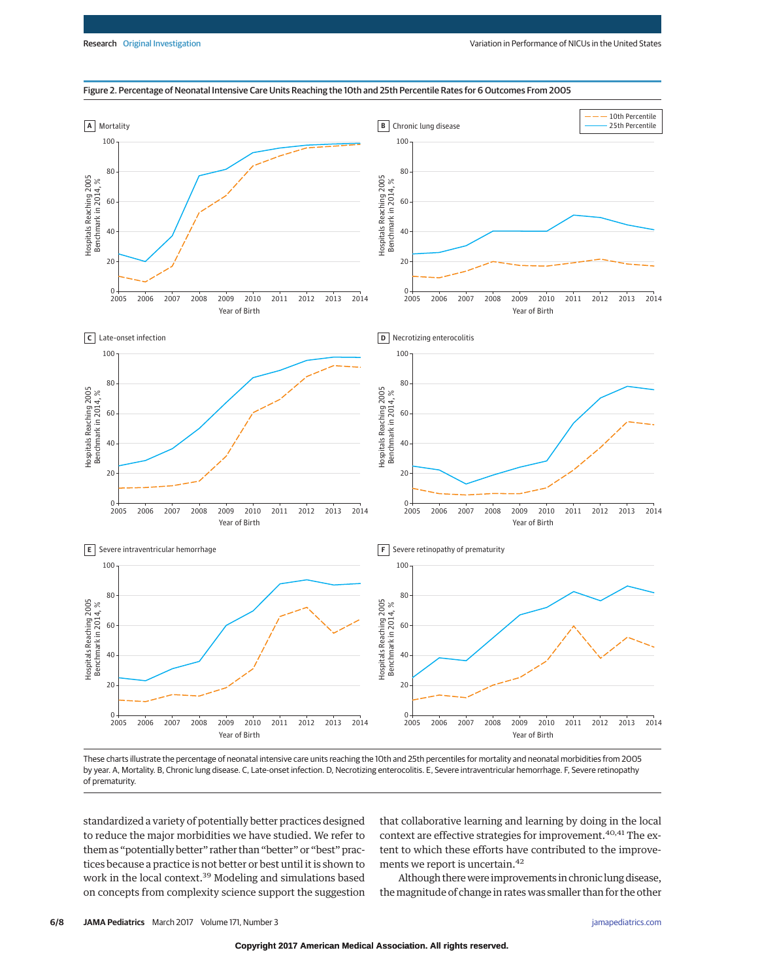#### Figure 2. Percentage of Neonatal Intensive Care Units Reaching the 10th and 25th Percentile Rates for 6 Outcomes From 2005



These charts illustrate the percentage of neonatal intensive care units reaching the 10th and 25th percentiles for mortality and neonatal morbidities from 2005 by year. A, Mortality. B, Chronic lung disease. C, Late-onset infection. D, Necrotizing enterocolitis. E, Severe intraventricular hemorrhage. F, Severe retinopathy of prematurity.

standardized a variety of potentially better practices designed to reduce the major morbidities we have studied. We refer to them as "potentially better" rather than "better" or "best" practices because a practice is not better or best until it is shown to work in the local context.<sup>39</sup> Modeling and simulations based on concepts from complexity science support the suggestion that collaborative learning and learning by doing in the local context are effective strategies for improvement.<sup>40,41</sup> The extent to which these efforts have contributed to the improvements we report is uncertain.42

Although there were improvements in chronic lung disease, the magnitude of change in rates was smaller than for the other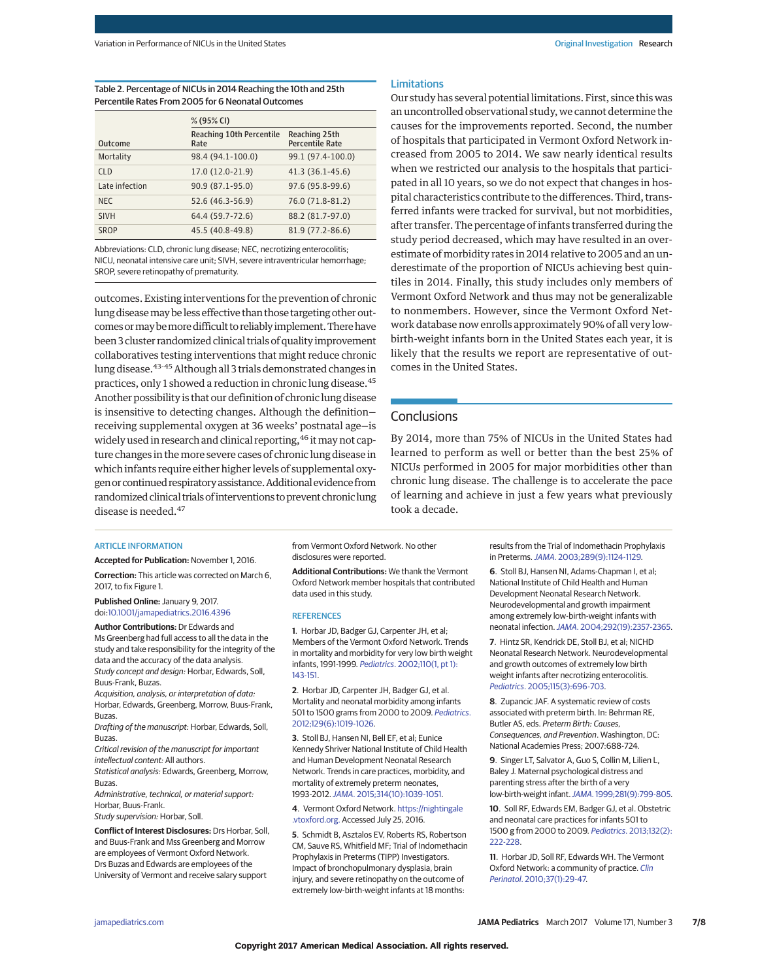Table 2. Percentage of NICUs in 2014 Reaching the 10th and 25th Percentile Rates From 2005 for 6 Neonatal Outcomes

|                | % (95% CI)                              |                                         |  |  |  |
|----------------|-----------------------------------------|-----------------------------------------|--|--|--|
| <b>Outcome</b> | <b>Reaching 10th Percentile</b><br>Rate | Reaching 25th<br><b>Percentile Rate</b> |  |  |  |
| Mortality      | 98.4 (94.1-100.0)                       | 99.1 (97.4-100.0)                       |  |  |  |
| <b>CLD</b>     | 17.0 (12.0-21.9)                        | 41.3 (36.1-45.6)                        |  |  |  |
| Late infection | 90.9 (87.1-95.0)                        | 97.6 (95.8-99.6)                        |  |  |  |
| NEC.           | 52.6 (46.3-56.9)                        | 76.0 (71.8-81.2)                        |  |  |  |
| <b>SIVH</b>    | 64.4 (59.7-72.6)                        | 88.2 (81.7-97.0)                        |  |  |  |
| SROP           | 45.5 (40.8-49.8)                        | 81.9 (77.2-86.6)                        |  |  |  |

Abbreviations: CLD, chronic lung disease; NEC, necrotizing enterocolitis; NICU, neonatal intensive care unit; SIVH, severe intraventricular hemorrhage; SROP, severe retinopathy of prematurity.

outcomes. Existing interventions for the prevention of chronic lung diseasemay be less effective than those targeting other outcomes or may be more difficult to reliably implement. There have been 3 cluster randomized clinical trials of quality improvement collaboratives testing interventions that might reduce chronic lung disease.<sup>43-45</sup> Although all 3 trials demonstrated changes in practices, only 1 showed a reduction in chronic lung disease.45 Another possibility is that our definition of chronic lung disease is insensitive to detecting changes. Although the definition receiving supplemental oxygen at 36 weeks' postnatal age—is widely used in research and clinical reporting, <sup>46</sup> it may not capture changes in themore severe cases of chronic lung disease in which infants require either higher levels of supplemental oxygen or continued respiratory assistance. Additional evidence from randomized clinical trials of interventions to prevent chronic lung disease is needed.<sup>47</sup>

### Limitations

Our study has several potential limitations. First, since this was an uncontrolled observational study, we cannot determine the causes for the improvements reported. Second, the number of hospitals that participated in Vermont Oxford Network increased from 2005 to 2014. We saw nearly identical results when we restricted our analysis to the hospitals that participated in all 10 years, so we do not expect that changes in hospital characteristics contribute to the differences. Third, transferred infants were tracked for survival, but not morbidities, after transfer. The percentage of infants transferred during the study period decreased, which may have resulted in an overestimate of morbidity rates in 2014 relative to 2005 and an underestimate of the proportion of NICUs achieving best quintiles in 2014. Finally, this study includes only members of Vermont Oxford Network and thus may not be generalizable to nonmembers. However, since the Vermont Oxford Network database now enrolls approximately 90% of all very lowbirth-weight infants born in the United States each year, it is likely that the results we report are representative of outcomes in the United States.

## **Conclusions**

By 2014, more than 75% of NICUs in the United States had learned to perform as well or better than the best 25% of NICUs performed in 2005 for major morbidities other than chronic lung disease. The challenge is to accelerate the pace of learning and achieve in just a few years what previously took a decade.

#### ARTICLE INFORMATION

**Accepted for Publication:** November 1, 2016.

**Correction:** This article was corrected on March 6, 2017, to fix Figure 1.

**Published Online:** January 9, 2017. doi[:10.1001/jamapediatrics.2016.4396](http://jama.jamanetwork.com/article.aspx?doi=10.1001/jamapediatrics.2016.4396&utm_campaign=articlePDF%26utm_medium=articlePDFlink%26utm_source=articlePDF%26utm_content=jamapediatrics.2016.4396)

**Author Contributions:** Dr Edwards and Ms Greenberg had full access to all the data in the study and take responsibility for the integrity of the data and the accuracy of the data analysis. Study concept and design: Horbar, Edwards, Soll, Buus-Frank, Buzas.

Acquisition, analysis, or interpretation of data: Horbar, Edwards, Greenberg, Morrow, Buus-Frank, Buzas.

Drafting of the manuscript: Horbar, Edwards, Soll, **Buzas** 

Critical revision of the manuscript for important intellectual content: All authors.

Statistical analysis: Edwards, Greenberg, Morrow, Buzas.

Administrative, technical, or material support: Horbar, Buus-Frank.

Study supervision: Horbar, Soll.

**Conflict of Interest Disclosures:** Drs Horbar, Soll, and Buus-Frank and Mss Greenberg and Morrow are employees of Vermont Oxford Network. Drs Buzas and Edwards are employees of the University of Vermont and receive salary support

from Vermont Oxford Network. No other disclosures were reported.

**Additional Contributions:** We thank the Vermont Oxford Network member hospitals that contributed data used in this study.

#### **REFERENCES**

**1**. Horbar JD, Badger GJ, Carpenter JH, et al; Members of the Vermont Oxford Network. Trends in mortality and morbidity for very low birth weight infants, 1991-1999. Pediatrics[. 2002;110\(1, pt 1\):](https://www.ncbi.nlm.nih.gov/pubmed/12093960) [143-151.](https://www.ncbi.nlm.nih.gov/pubmed/12093960)

**2**. Horbar JD, Carpenter JH, Badger GJ, et al. Mortality and neonatal morbidity among infants 501 to 1500 grams from 2000 to 2009. [Pediatrics](https://www.ncbi.nlm.nih.gov/pubmed/22614775). [2012;129\(6\):1019-1026.](https://www.ncbi.nlm.nih.gov/pubmed/22614775)

**3**. Stoll BJ, Hansen NI, Bell EF, et al; Eunice Kennedy Shriver National Institute of Child Health and Human Development Neonatal Research Network. Trends in care practices, morbidity, and mortality of extremely preterm neonates, 1993-2012.JAMA[. 2015;314\(10\):1039-1051.](https://www.ncbi.nlm.nih.gov/pubmed/26348753)

**4**. Vermont Oxford Network. [https://nightingale](https://nightingale.vtoxford.org) [.vtoxford.org.](https://nightingale.vtoxford.org) Accessed July 25, 2016.

**5**. Schmidt B, Asztalos EV, Roberts RS, Robertson CM, Sauve RS, Whitfield MF; Trial of Indomethacin Prophylaxis in Preterms (TIPP) Investigators. Impact of bronchopulmonary dysplasia, brain injury, and severe retinopathy on the outcome of extremely low-birth-weight infants at 18 months:

results from the Trial of Indomethacin Prophylaxis in Preterms.JAMA[. 2003;289\(9\):1124-1129.](https://www.ncbi.nlm.nih.gov/pubmed/12622582)

**6**. Stoll BJ, Hansen NI, Adams-Chapman I, et al; National Institute of Child Health and Human Development Neonatal Research Network. Neurodevelopmental and growth impairment among extremely low-birth-weight infants with neonatal infection.JAMA[. 2004;292\(19\):2357-2365.](https://www.ncbi.nlm.nih.gov/pubmed/15547163)

**7**. Hintz SR, Kendrick DE, Stoll BJ, et al; NICHD Neonatal Research Network. Neurodevelopmental and growth outcomes of extremely low birth weight infants after necrotizing enterocolitis. Pediatrics[. 2005;115\(3\):696-703.](https://www.ncbi.nlm.nih.gov/pubmed/15741374)

**8**. Zupancic JAF. A systematic review of costs associated with preterm birth. In: Behrman RE, Butler AS, eds. Preterm Birth: Causes, Consequences, and Prevention. Washington, DC: National Academies Press; 2007:688-724.

**9**. Singer LT, Salvator A, Guo S, Collin M, Lilien L, Baley J. Maternal psychological distress and parenting stress after the birth of a very low-birth-weight infant.JAMA[. 1999;281\(9\):799-805.](https://www.ncbi.nlm.nih.gov/pubmed/10071000)

**10**. Soll RF, Edwards EM, Badger GJ, et al. Obstetric and neonatal care practices for infants 501 to 1500 g from 2000 to 2009. Pediatrics[. 2013;132\(2\):](https://www.ncbi.nlm.nih.gov/pubmed/23858426) [222-228.](https://www.ncbi.nlm.nih.gov/pubmed/23858426)

**11**. Horbar JD, Soll RF, Edwards WH. The Vermont Oxford Network: a community of practice. [Clin](https://www.ncbi.nlm.nih.gov/pubmed/20363446) Perinatol[. 2010;37\(1\):29-47.](https://www.ncbi.nlm.nih.gov/pubmed/20363446)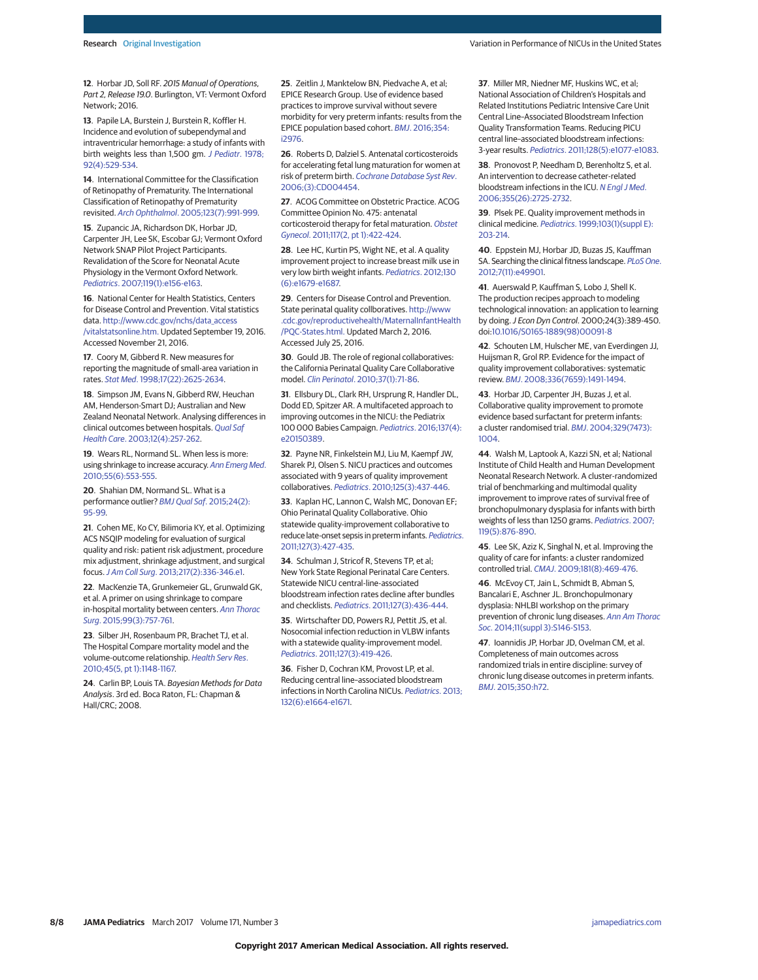**12**. Horbar JD, Soll RF. 2015 Manual of Operations, Part 2, Release 19.0. Burlington, VT: Vermont Oxford Network; 2016.

**13**. Papile LA, Burstein J, Burstein R, Koffler H. Incidence and evolution of subependymal and intraventricular hemorrhage: a study of infants with birth weights less than 1,500 gm. [J Pediatr](https://www.ncbi.nlm.nih.gov/pubmed/305471). 1978; [92\(4\):529-534.](https://www.ncbi.nlm.nih.gov/pubmed/305471)

**14**. International Committee for the Classification of Retinopathy of Prematurity. The International Classification of Retinopathy of Prematurity revisited. Arch Ophthalmol[. 2005;123\(7\):991-999.](https://www.ncbi.nlm.nih.gov/pubmed/16009843)

**15**. Zupancic JA, Richardson DK, Horbar JD, Carpenter JH, Lee SK, Escobar GJ; Vermont Oxford Network SNAP Pilot Project Participants. Revalidation of the Score for Neonatal Acute Physiology in the Vermont Oxford Network. Pediatrics[. 2007;119\(1\):e156-e163.](https://www.ncbi.nlm.nih.gov/pubmed/17158947)

**16**. National Center for Health Statistics, Centers for Disease Control and Prevention. Vital statistics data. [http://www.cdc.gov/nchs/data\\_access](http://www.cdc.gov/nchs/data_access/vitalstatsonline.htm) [/vitalstatsonline.htm.](http://www.cdc.gov/nchs/data_access/vitalstatsonline.htm) Updated September 19, 2016. Accessed November 21, 2016.

**17**. Coory M, Gibberd R. New measures for reporting the magnitude of small-area variation in rates. Stat Med[. 1998;17\(22\):2625-2634.](https://www.ncbi.nlm.nih.gov/pubmed/9839353)

**18**. Simpson JM, Evans N, Gibberd RW, Heuchan AM, Henderson-Smart DJ; Australian and New Zealand Neonatal Network. Analysing differences in clinical outcomes between hospitals. [Qual Saf](https://www.ncbi.nlm.nih.gov/pubmed/12897358) Health Care[. 2003;12\(4\):257-262.](https://www.ncbi.nlm.nih.gov/pubmed/12897358)

**19.** Wears RL, Normand SL, When less is more: using shrinkage to increase accuracy. [Ann Emerg Med](https://www.ncbi.nlm.nih.gov/pubmed/20494223). [2010;55\(6\):553-555.](https://www.ncbi.nlm.nih.gov/pubmed/20494223)

**20**. Shahian DM, Normand SL. What is a performance outlier? [BMJ Qual Saf](https://www.ncbi.nlm.nih.gov/pubmed/25605952). 2015;24(2): [95-99.](https://www.ncbi.nlm.nih.gov/pubmed/25605952)

**21**. Cohen ME, Ko CY, Bilimoria KY, et al. Optimizing ACS NSQIP modeling for evaluation of surgical quality and risk: patient risk adjustment, procedure mix adjustment, shrinkage adjustment, and surgical focus.J Am Coll Surg[. 2013;217\(2\):336-346.e1.](https://www.ncbi.nlm.nih.gov/pubmed/23628227)

**22**. MacKenzie TA, Grunkemeier GL, Grunwald GK, et al. A primer on using shrinkage to compare in-hospital mortality between centers. [Ann Thorac](https://www.ncbi.nlm.nih.gov/pubmed/25742812) Surg[. 2015;99\(3\):757-761.](https://www.ncbi.nlm.nih.gov/pubmed/25742812)

**23**. Silber JH, Rosenbaum PR, Brachet TJ, et al. The Hospital Compare mortality model and the volume-outcome relationship. [Health Serv Res](https://www.ncbi.nlm.nih.gov/pubmed/20579125). [2010;45\(5, pt 1\):1148-1167.](https://www.ncbi.nlm.nih.gov/pubmed/20579125)

**24**. Carlin BP, Louis TA. Bayesian Methods for Data Analysis. 3rd ed. Boca Raton, FL: Chapman & Hall/CRC; 2008.

**25**. Zeitlin J, Manktelow BN, Piedvache A, et al; EPICE Research Group. Use of evidence based practices to improve survival without severe morbidity for very preterm infants: results from the EPICE population based cohort. BMJ[. 2016;354:](https://www.ncbi.nlm.nih.gov/pubmed/27381936) [i2976.](https://www.ncbi.nlm.nih.gov/pubmed/27381936)

**26**. Roberts D, Dalziel S. Antenatal corticosteroids for accelerating fetal lung maturation for women at risk of preterm birth. [Cochrane Database Syst Rev](https://www.ncbi.nlm.nih.gov/pubmed/16856047). [2006;\(3\):CD004454.](https://www.ncbi.nlm.nih.gov/pubmed/16856047)

**27**. ACOG Committee on Obstetric Practice. ACOG Committee Opinion No. 475: antenatal corticosteroid therapy for fetal maturation. [Obstet](https://www.ncbi.nlm.nih.gov/pubmed/21252775) Gynecol[. 2011;117\(2, pt 1\):422-424.](https://www.ncbi.nlm.nih.gov/pubmed/21252775)

**28**. Lee HC, Kurtin PS, Wight NE, et al. A quality improvement project to increase breast milk use in very low birth weight infants. Pediatrics[. 2012;130](https://www.ncbi.nlm.nih.gov/pubmed/23129071) [\(6\):e1679-e1687.](https://www.ncbi.nlm.nih.gov/pubmed/23129071)

**29**. Centers for Disease Control and Prevention. State perinatal quality collboratives. [http://www](http://www.cdc.gov/reproductivehealth/MaternalInfantHealth/PQC-States.html) [.cdc.gov/reproductivehealth/MaternalInfantHealth](http://www.cdc.gov/reproductivehealth/MaternalInfantHealth/PQC-States.html) [/PQC-States.html.](http://www.cdc.gov/reproductivehealth/MaternalInfantHealth/PQC-States.html) Updated March 2, 2016. Accessed July 25, 2016.

**30**. Gould JB. The role of regional collaboratives: the California Perinatal Quality Care Collaborative model. Clin Perinatol[. 2010;37\(1\):71-86.](https://www.ncbi.nlm.nih.gov/pubmed/20363448)

**31**. Ellsbury DL, Clark RH, Ursprung R, Handler DL, Dodd ED, Spitzer AR. A multifaceted approach to improving outcomes in the NICU: the Pediatrix 100 000 Babies Campaign. Pediatrics[. 2016;137\(4\):](https://www.ncbi.nlm.nih.gov/pubmed/26936860) [e20150389.](https://www.ncbi.nlm.nih.gov/pubmed/26936860)

**32**. Payne NR, Finkelstein MJ, Liu M, Kaempf JW, Sharek PJ, Olsen S. NICU practices and outcomes associated with 9 years of quality improvement collaboratives. Pediatrics[. 2010;125\(3\):437-446.](https://www.ncbi.nlm.nih.gov/pubmed/20123773)

**33**. Kaplan HC, Lannon C, Walsh MC, Donovan EF; Ohio Perinatal Quality Collaborative. Ohio statewide quality-improvement collaborative to reduce late-onset sepsis in preterm infants. [Pediatrics](https://www.ncbi.nlm.nih.gov/pubmed/21339274). [2011;127\(3\):427-435.](https://www.ncbi.nlm.nih.gov/pubmed/21339274)

**34**. Schulman J, Stricof R, Stevens TP, et al; New York State Regional Perinatal Care Centers. Statewide NICU central-line-associated bloodstream infection rates decline after bundles and checklists. Pediatrics[. 2011;127\(3\):436-444.](https://www.ncbi.nlm.nih.gov/pubmed/21339265)

**35**. Wirtschafter DD, Powers RJ, Pettit JS, et al. Nosocomial infection reduction in VLBW infants with a statewide quality-improvement model. Pediatrics[. 2011;127\(3\):419-426.](https://www.ncbi.nlm.nih.gov/pubmed/21339273)

**36**. Fisher D, Cochran KM, Provost LP, et al. Reducing central line–associated bloodstream infections in North Carolina NICUs. [Pediatrics](https://www.ncbi.nlm.nih.gov/pubmed/24249819). 2013; [132\(6\):e1664-e1671.](https://www.ncbi.nlm.nih.gov/pubmed/24249819)

**37**. Miller MR, Niedner MF, Huskins WC, et al; National Association of Children's Hospitals and Related Institutions Pediatric Intensive Care Unit Central Line–Associated Bloodstream Infection Quality Transformation Teams. Reducing PICU central line–associated bloodstream infections: 3-year results. Pediatrics[. 2011;128\(5\):e1077-e1083.](https://www.ncbi.nlm.nih.gov/pubmed/22025594)

**38**. Pronovost P, Needham D, Berenholtz S, et al. An intervention to decrease catheter-related bloodstream infections in the ICU. [N Engl J Med](https://www.ncbi.nlm.nih.gov/pubmed/17192537). [2006;355\(26\):2725-2732.](https://www.ncbi.nlm.nih.gov/pubmed/17192537)

**39**. Plsek PE. Quality improvement methods in clinical medicine. Pediatrics[. 1999;103\(1\)\(suppl E\):](https://www.ncbi.nlm.nih.gov/pubmed/9917464) [203-214.](https://www.ncbi.nlm.nih.gov/pubmed/9917464)

**40**. Eppstein MJ, Horbar JD, Buzas JS, Kauffman SA. Searching the clinical fitness landscape. [PLoS One](https://www.ncbi.nlm.nih.gov/pubmed/23166791). [2012;7\(11\):e49901.](https://www.ncbi.nlm.nih.gov/pubmed/23166791)

**41**. Auerswald P, Kauffman S, Lobo J, Shell K. The production recipes approach to modeling technological innovation: an application to learning by doing.J Econ Dyn Control. 2000;24(3):389-450. doi[:10.1016/S0165-1889\(98\)00091-8](http://dx.doi.org/10.1016/S0165-1889(98)00091-8)

**42**. Schouten LM, Hulscher ME, van Everdingen JJ, Huijsman R, Grol RP. Evidence for the impact of quality improvement collaboratives: systematic review. BMJ[. 2008;336\(7659\):1491-1494.](https://www.ncbi.nlm.nih.gov/pubmed/18577559)

**43**. Horbar JD, Carpenter JH, Buzas J, et al. Collaborative quality improvement to promote evidence based surfactant for preterm infants: a cluster randomised trial. BMJ[. 2004;329\(7473\):](https://www.ncbi.nlm.nih.gov/pubmed/15514344) [1004.](https://www.ncbi.nlm.nih.gov/pubmed/15514344)

**44**. Walsh M, Laptook A, Kazzi SN, et al; National Institute of Child Health and Human Development Neonatal Research Network. A cluster-randomized trial of benchmarking and multimodal quality improvement to improve rates of survival free of bronchopulmonary dysplasia for infants with birth weights of less than 1250 grams. [Pediatrics](https://www.ncbi.nlm.nih.gov/pubmed/17473087). 2007; [119\(5\):876-890.](https://www.ncbi.nlm.nih.gov/pubmed/17473087)

**45**. Lee SK, Aziz K, Singhal N, et al. Improving the quality of care for infants: a cluster randomized controlled trial. CMAJ[. 2009;181\(8\):469-476.](https://www.ncbi.nlm.nih.gov/pubmed/19667033)

**46**. McEvoy CT, Jain L, Schmidt B, Abman S, Bancalari E, Aschner JL. Bronchopulmonary dysplasia: NHLBI workshop on the primary prevention of chronic lung diseases. [Ann Am Thorac](https://www.ncbi.nlm.nih.gov/pubmed/24754823) Soc[. 2014;11\(suppl 3\):S146-S153.](https://www.ncbi.nlm.nih.gov/pubmed/24754823)

**47**. Ioannidis JP, Horbar JD, Ovelman CM, et al. Completeness of main outcomes across randomized trials in entire discipline: survey of chronic lung disease outcomes in preterm infants. BMJ[. 2015;350:h72.](https://www.ncbi.nlm.nih.gov/pubmed/25623087)